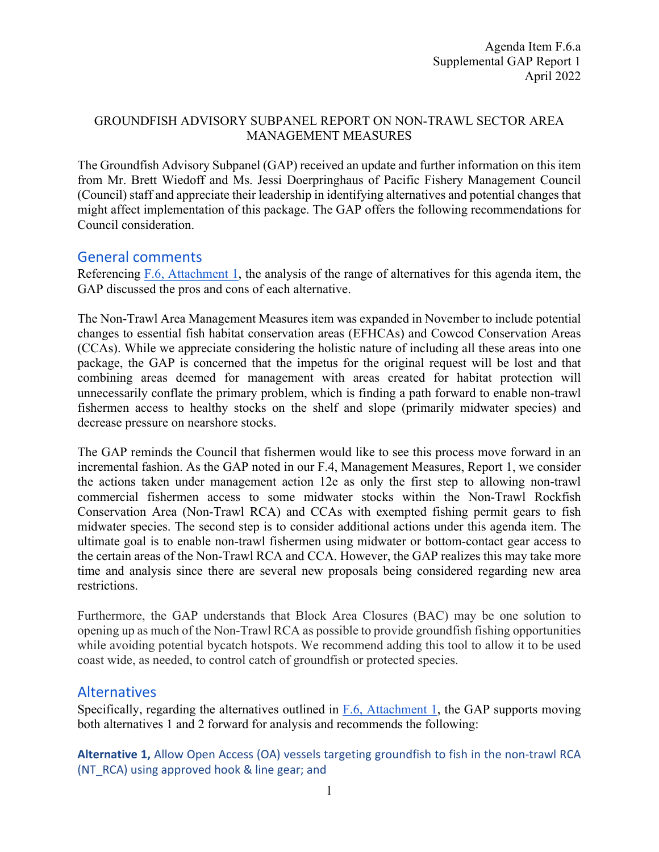## GROUNDFISH ADVISORY SUBPANEL REPORT ON NON-TRAWL SECTOR AREA MANAGEMENT MEASURES

The Groundfish Advisory Subpanel (GAP) received an update and further information on this item from Mr. Brett Wiedoff and Ms. Jessi Doerpringhaus of Pacific Fishery Management Council (Council) staff and appreciate their leadership in identifying alternatives and potential changes that might affect implementation of this package. The GAP offers the following recommendations for Council consideration.

# General comments

Referencing [F.6, Attachment 1,](https://www.pcouncil.org/documents/2022/03/f-6-attachment-1-electronic-only-non-trawl-sector-management-measures-analysis-to-support-the-development-of-a-range-of-alternatives.pdf/) the analysis of the range of alternatives for this agenda item, the GAP discussed the pros and cons of each alternative.

The Non-Trawl Area Management Measures item was expanded in November to include potential changes to essential fish habitat conservation areas (EFHCAs) and Cowcod Conservation Areas (CCAs). While we appreciate considering the holistic nature of including all these areas into one package, the GAP is concerned that the impetus for the original request will be lost and that combining areas deemed for management with areas created for habitat protection will unnecessarily conflate the primary problem, which is finding a path forward to enable non-trawl fishermen access to healthy stocks on the shelf and slope (primarily midwater species) and decrease pressure on nearshore stocks.

The GAP reminds the Council that fishermen would like to see this process move forward in an incremental fashion. As the GAP noted in our F.4, Management Measures, Report 1, we consider the actions taken under management action 12e as only the first step to allowing non-trawl commercial fishermen access to some midwater stocks within the Non-Trawl Rockfish Conservation Area (Non-Trawl RCA) and CCAs with exempted fishing permit gears to fish midwater species. The second step is to consider additional actions under this agenda item. The ultimate goal is to enable non-trawl fishermen using midwater or bottom-contact gear access to the certain areas of the Non-Trawl RCA and CCA. However, the GAP realizes this may take more time and analysis since there are several new proposals being considered regarding new area restrictions.

Furthermore, the GAP understands that Block Area Closures (BAC) may be one solution to opening up as much of the Non-Trawl RCA as possible to provide groundfish fishing opportunities while avoiding potential bycatch hotspots. We recommend adding this tool to allow it to be used coast wide, as needed, to control catch of groundfish or protected species.

# Alternatives

Specifically, regarding the alternatives outlined in  $F.6$ , Attachment 1, the GAP supports moving both alternatives 1 and 2 forward for analysis and recommends the following:

**Alternative 1,** Allow Open Access (OA) vessels targeting groundfish to fish in the non-trawl RCA (NT\_RCA) using approved hook & line gear; and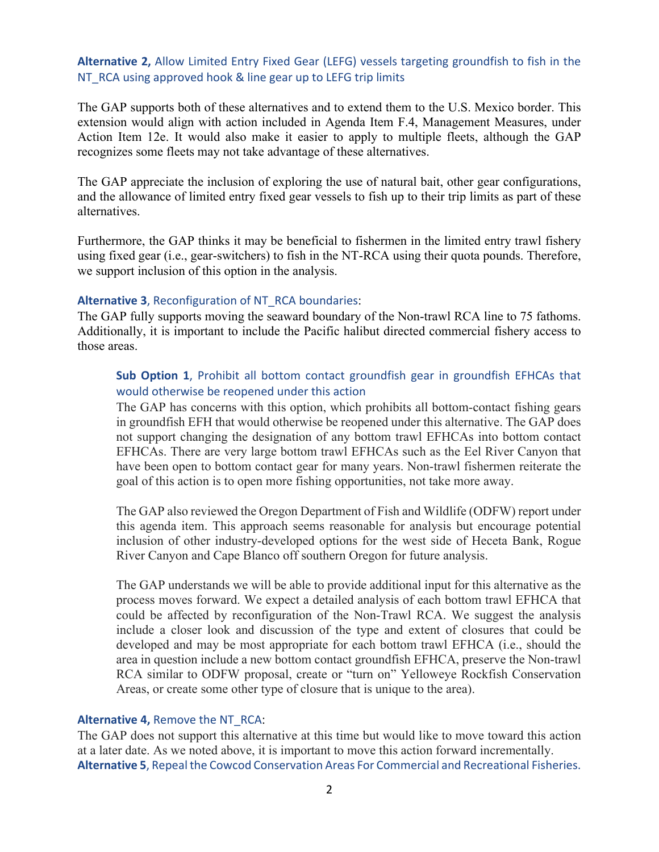### **Alternative 2,** Allow Limited Entry Fixed Gear (LEFG) vessels targeting groundfish to fish in the NT\_RCA using approved hook & line gear up to LEFG trip limits

The GAP supports both of these alternatives and to extend them to the U.S. Mexico border. This extension would align with action included in Agenda Item F.4, Management Measures, under Action Item 12e. It would also make it easier to apply to multiple fleets, although the GAP recognizes some fleets may not take advantage of these alternatives.

The GAP appreciate the inclusion of exploring the use of natural bait, other gear configurations, and the allowance of limited entry fixed gear vessels to fish up to their trip limits as part of these alternatives.

Furthermore, the GAP thinks it may be beneficial to fishermen in the limited entry trawl fishery using fixed gear (i.e., gear-switchers) to fish in the NT-RCA using their quota pounds. Therefore, we support inclusion of this option in the analysis.

#### **Alternative 3**, Reconfiguration of NT\_RCA boundaries:

The GAP fully supports moving the seaward boundary of the Non-trawl RCA line to 75 fathoms. Additionally, it is important to include the Pacific halibut directed commercial fishery access to those areas.

## **Sub Option 1**, Prohibit all bottom contact groundfish gear in groundfish EFHCAs that would otherwise be reopened under this action

The GAP has concerns with this option, which prohibits all bottom-contact fishing gears in groundfish EFH that would otherwise be reopened under this alternative. The GAP does not support changing the designation of any bottom trawl EFHCAs into bottom contact EFHCAs. There are very large bottom trawl EFHCAs such as the Eel River Canyon that have been open to bottom contact gear for many years. Non-trawl fishermen reiterate the goal of this action is to open more fishing opportunities, not take more away.

The GAP also reviewed the Oregon Department of Fish and Wildlife (ODFW) report under this agenda item. This approach seems reasonable for analysis but encourage potential inclusion of other industry-developed options for the west side of Heceta Bank, Rogue River Canyon and Cape Blanco off southern Oregon for future analysis.

The GAP understands we will be able to provide additional input for this alternative as the process moves forward. We expect a detailed analysis of each bottom trawl EFHCA that could be affected by reconfiguration of the Non-Trawl RCA. We suggest the analysis include a closer look and discussion of the type and extent of closures that could be developed and may be most appropriate for each bottom trawl EFHCA (i.e., should the area in question include a new bottom contact groundfish EFHCA, preserve the Non-trawl RCA similar to ODFW proposal, create or "turn on" Yelloweye Rockfish Conservation Areas, or create some other type of closure that is unique to the area).

#### **Alternative 4,** Remove the NT\_RCA:

The GAP does not support this alternative at this time but would like to move toward this action at a later date. As we noted above, it is important to move this action forward incrementally. **Alternative 5**, Repeal the Cowcod Conservation Areas For Commercial and Recreational Fisheries.